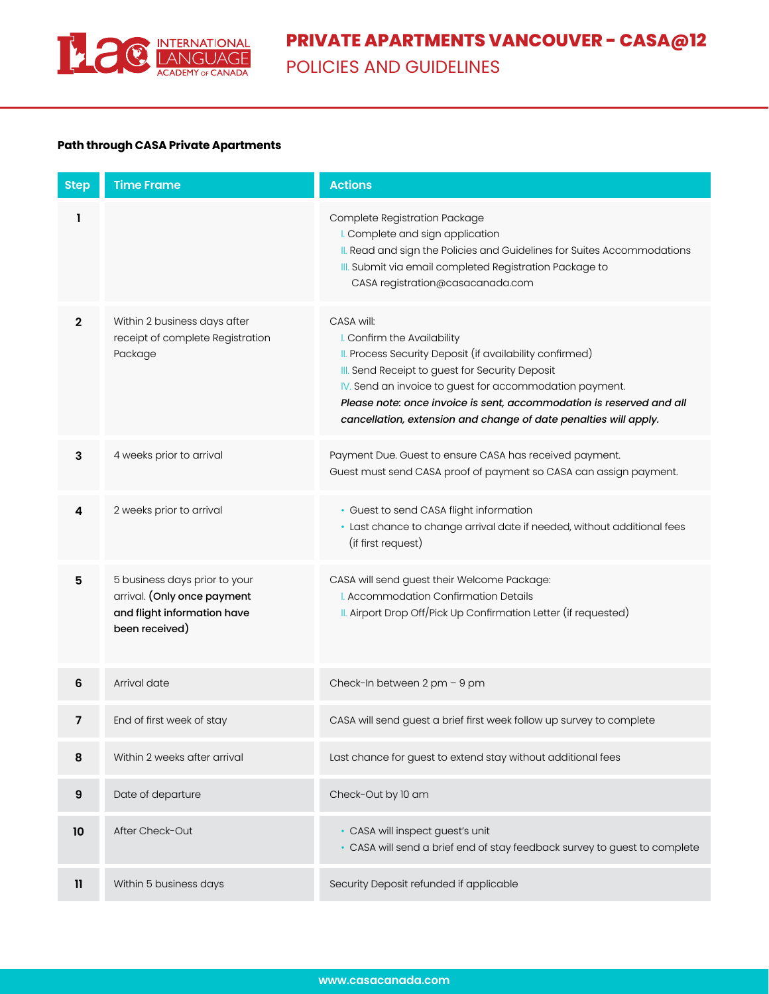

## **Path through CASA Private Apartments**

| <b>Step</b>    | <b>Time Frame</b>                                                                                             | <b>Actions</b>                                                                                                                                                                                                                                                                                                                                                  |  |
|----------------|---------------------------------------------------------------------------------------------------------------|-----------------------------------------------------------------------------------------------------------------------------------------------------------------------------------------------------------------------------------------------------------------------------------------------------------------------------------------------------------------|--|
| 1              |                                                                                                               | Complete Registration Package<br>I. Complete and sign application<br>II. Read and sign the Policies and Guidelines for Suites Accommodations<br>III. Submit via email completed Registration Package to<br>CASA registration@casacanada.com                                                                                                                     |  |
| $\mathbf{2}$   | Within 2 business days after<br>receipt of complete Registration<br>Package                                   | CASA will:<br>I. Confirm the Availability<br>II. Process Security Deposit (if availability confirmed)<br>III. Send Receipt to guest for Security Deposit<br>IV. Send an invoice to guest for accommodation payment.<br>Please note: once invoice is sent, accommodation is reserved and all<br>cancellation, extension and change of date penalties will apply. |  |
| 3              | 4 weeks prior to arrival                                                                                      | Payment Due. Guest to ensure CASA has received payment.<br>Guest must send CASA proof of payment so CASA can assign payment.                                                                                                                                                                                                                                    |  |
| 4              | 2 weeks prior to arrival                                                                                      | · Guest to send CASA flight information<br>· Last chance to change arrival date if needed, without additional fees<br>(if first request)                                                                                                                                                                                                                        |  |
| 5              | 5 business days prior to your<br>arrival. (Only once payment<br>and flight information have<br>been received) | CASA will send guest their Welcome Package:<br>I. Accommodation Confirmation Details<br>II. Airport Drop Off/Pick Up Confirmation Letter (if requested)                                                                                                                                                                                                         |  |
| 6              | Arrival date                                                                                                  | Check-In between 2 pm - 9 pm                                                                                                                                                                                                                                                                                                                                    |  |
| $\overline{7}$ | End of first week of stay                                                                                     | CASA will send guest a brief first week follow up survey to complete                                                                                                                                                                                                                                                                                            |  |
| 8              | Within 2 weeks after arrival                                                                                  | Last chance for guest to extend stay without additional fees                                                                                                                                                                                                                                                                                                    |  |
| 9              | Date of departure                                                                                             | Check-Out by 10 am                                                                                                                                                                                                                                                                                                                                              |  |
| 10             | After Check-Out                                                                                               | • CASA will inspect guest's unit<br>• CASA will send a brief end of stay feedback survey to guest to complete                                                                                                                                                                                                                                                   |  |
| $\mathbf{1}$   | Within 5 business days                                                                                        | Security Deposit refunded if applicable                                                                                                                                                                                                                                                                                                                         |  |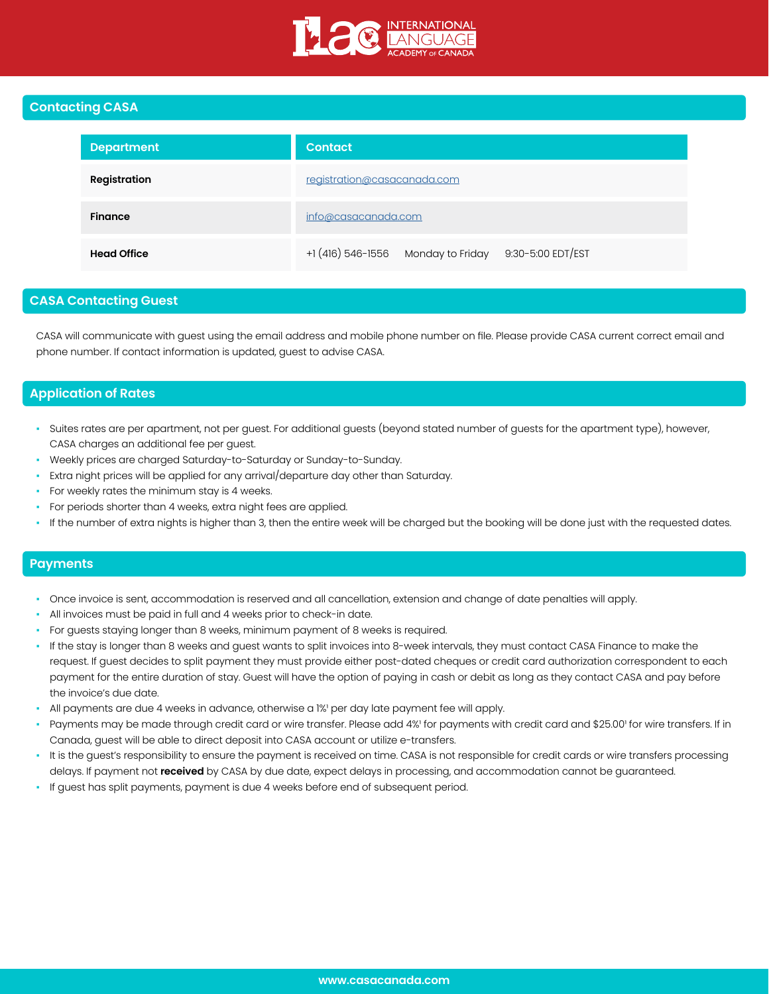

## **Contacting CASA**

| <b>Department</b>   | <b>Contact</b>                                       |  |  |
|---------------------|------------------------------------------------------|--|--|
| <b>Registration</b> | registration@casacanada.com                          |  |  |
| <b>Finance</b>      | info@casacanada.com                                  |  |  |
| <b>Head Office</b>  | +1 (416) 546-1556 Monday to Friday 9:30-5:00 EDT/EST |  |  |

# **CASA Contacting Guest**

CASA will communicate with guest using the email address and mobile phone number on file. Please provide CASA current correct email and phone number. If contact information is updated, guest to advise CASA.

# **Application of Rates**

- Suites rates are per apartment, not per guest. For additional guests (beyond stated number of guests for the apartment type), however, CASA charges an additional fee per guest.
- Weekly prices are charged Saturday-to-Saturday or Sunday-to-Sunday.
- Extra night prices will be applied for any arrival/departure day other than Saturday.
- For weekly rates the minimum stay is 4 weeks.
- For periods shorter than 4 weeks, extra night fees are applied.
- If the number of extra nights is higher than 3, then the entire week will be charged but the booking will be done just with the requested dates.

## **Payments**

- Once invoice is sent, accommodation is reserved and all cancellation, extension and change of date penalties will apply.
- All invoices must be paid in full and 4 weeks prior to check-in date.
- For guests staying longer than 8 weeks, minimum payment of 8 weeks is required.
- If the stay is longer than 8 weeks and guest wants to split invoices into 8-week intervals, they must contact CASA Finance to make the request. If guest decides to split payment they must provide either post-dated cheques or credit card authorization correspondent to each payment for the entire duration of stay. Guest will have the option of paying in cash or debit as long as they contact CASA and pay before the invoice's due date.
- All payments are due 4 weeks in advance, otherwise a 1%' per day late payment fee will apply.
- Payments may be made through credit card or wire transfer. Please add 4%' for payments with credit card and \$25.00' for wire transfers. If in Canada, guest will be able to direct deposit into CASA account or utilize e-transfers.
- It is the guest's responsibility to ensure the payment is received on time. CASA is not responsible for credit cards or wire transfers processing delays. If payment not **received** by CASA by due date, expect delays in processing, and accommodation cannot be guaranteed.
- If guest has split payments, payment is due 4 weeks before end of subsequent period.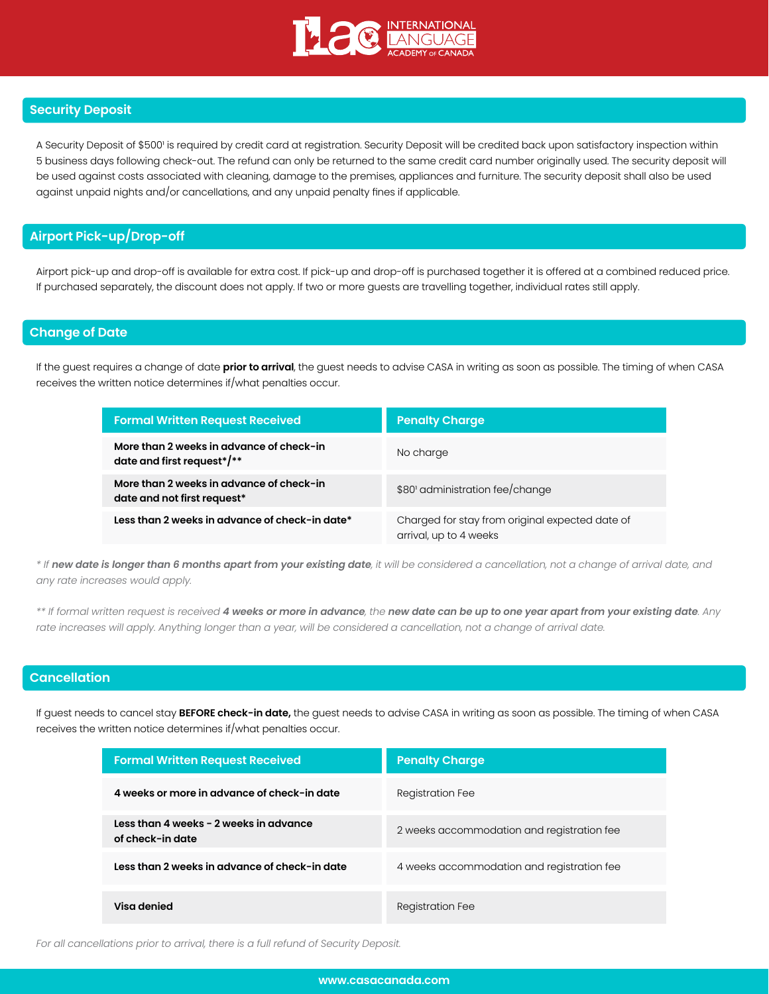

## **Security Deposit**

A Security Deposit of \$500' is required by credit card at registration. Security Deposit will be credited back upon satisfactory inspection within 5 business days following check-out. The refund can only be returned to the same credit card number originally used. The security deposit will be used against costs associated with cleaning, damage to the premises, appliances and furniture. The security deposit shall also be used against unpaid nights and/or cancellations, and any unpaid penalty fines if applicable.

## **Airport Pick-up/Drop-off**

Airport pick-up and drop-off is available for extra cost. If pick-up and drop-off is purchased together it is offered at a combined reduced price. If purchased separately, the discount does not apply. If two or more guests are travelling together, individual rates still apply.

### **Change of Date**

If the guest requires a change of date **prior to arrival**, the guest needs to advise CASA in writing as soon as possible. The timing of when CASA receives the written notice determines if/what penalties occur.

| <b>Formal Written Request Received</b>                                  | <b>Penalty Charge</b>                                                     |  |
|-------------------------------------------------------------------------|---------------------------------------------------------------------------|--|
| More than 2 weeks in advance of check-in<br>date and first request*/**  | No charge                                                                 |  |
| More than 2 weeks in advance of check-in<br>date and not first request* | \$80' administration fee/change                                           |  |
| Less than 2 weeks in advance of check-in date*                          | Charged for stay from original expected date of<br>arrival, up to 4 weeks |  |

*\* If new date is longer than 6 months apart from your existing date, it will be considered a cancellation, not a change of arrival date, and any rate increases would apply.*

*\*\* If formal written request is received 4 weeks or more in advance, the new date can be up to one year apart from your existing date. Any rate increases will apply. Anything longer than a year, will be considered a cancellation, not a change of arrival date.*

# **Cancellation**

If guest needs to cancel stay **BEFORE check-in date,** the guest needs to advise CASA in writing as soon as possible. The timing of when CASA receives the written notice determines if/what penalties occur.

| <b>Formal Written Request Received</b>                     | <b>Penalty Charge</b>                      |  |
|------------------------------------------------------------|--------------------------------------------|--|
| 4 weeks or more in advance of check-in date                | <b>Registration Fee</b>                    |  |
| Less than 4 weeks - 2 weeks in advance<br>of check-in date | 2 weeks accommodation and registration fee |  |
| Less than 2 weeks in advance of check-in date              | 4 weeks accommodation and registration fee |  |
| Visa denied                                                | Registration Fee                           |  |

*For all cancellations prior to arrival, there is a full refund of Security Deposit.*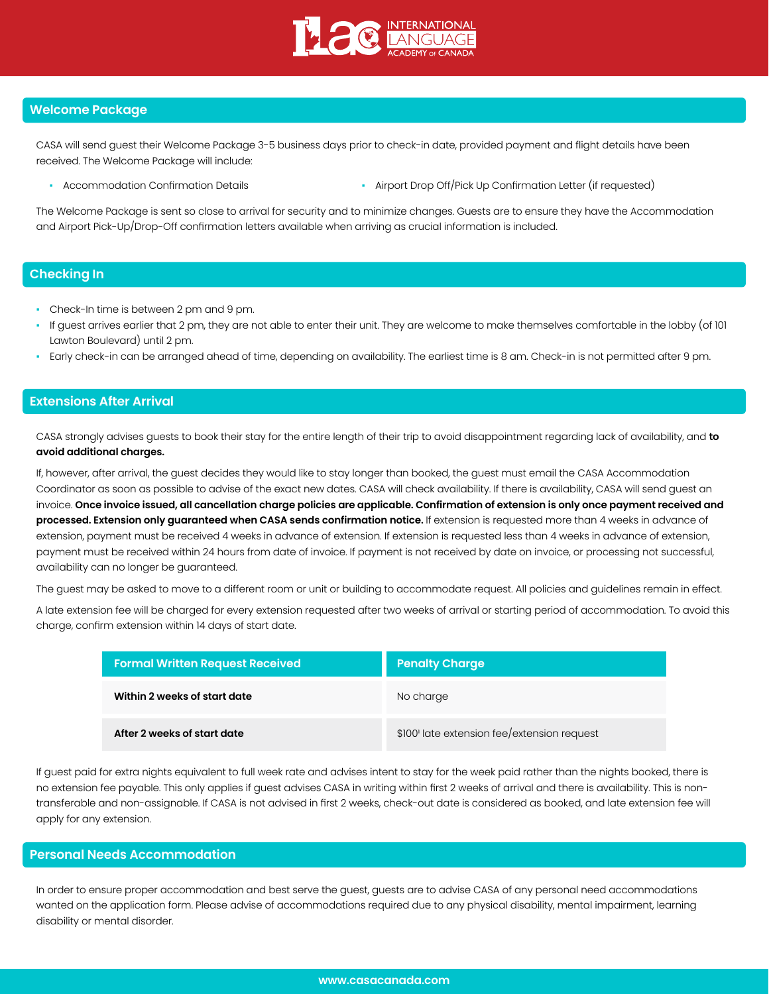

### **Welcome Package**

CASA will send guest their Welcome Package 3-5 business days prior to check-in date, provided payment and flight details have been received. The Welcome Package will include:

- 
- Accommodation Confirmation Details  **Airport Drop Off/Pick Up Confirmation Letter (if requested)**

The Welcome Package is sent so close to arrival for security and to minimize changes. Guests are to ensure they have the Accommodation and Airport Pick-Up/Drop-Off confirmation letters available when arriving as crucial information is included.

## **Checking In**

- Check-In time is between 2 pm and 9 pm.
- If guest arrives earlier that 2 pm, they are not able to enter their unit. They are welcome to make themselves comfortable in the lobby (of 101 Lawton Boulevard) until 2 pm.
- Early check-in can be arranged ahead of time, depending on availability. The earliest time is 8 am. Check-in is not permitted after 9 pm.

#### **Extensions After Arrival**

CASA strongly advises guests to book their stay for the entire length of their trip to avoid disappointment regarding lack of availability, and **to avoid additional charges.**

If, however, after arrival, the guest decides they would like to stay longer than booked, the guest must email the CASA Accommodation Coordinator as soon as possible to advise of the exact new dates. CASA will check availability. If there is availability, CASA will send guest an invoice. **Once invoice issued, all cancellation charge policies are applicable. Confirmation of extension is only once payment received and processed. Extension only guaranteed when CASA sends confirmation notice.** If extension is requested more than 4 weeks in advance of extension, payment must be received 4 weeks in advance of extension. If extension is requested less than 4 weeks in advance of extension, payment must be received within 24 hours from date of invoice. If payment is not received by date on invoice, or processing not successful, availability can no longer be guaranteed.

The guest may be asked to move to a different room or unit or building to accommodate request. All policies and guidelines remain in effect.

A late extension fee will be charged for every extension requested after two weeks of arrival or starting period of accommodation. To avoid this charge, confirm extension within 14 days of start date.

| <b>Formal Written Request Received</b> | <b>Penalty Charge</b>                       |  |
|----------------------------------------|---------------------------------------------|--|
| Within 2 weeks of start date           | No charge                                   |  |
| After 2 weeks of start date            | \$100' late extension fee/extension request |  |

If guest paid for extra nights equivalent to full week rate and advises intent to stay for the week paid rather than the nights booked, there is no extension fee payable. This only applies if guest advises CASA in writing within first 2 weeks of arrival and there is availability. This is nontransferable and non-assignable. If CASA is not advised in first 2 weeks, check-out date is considered as booked, and late extension fee will apply for any extension.

### **Personal Needs Accommodation**

In order to ensure proper accommodation and best serve the guest, guests are to advise CASA of any personal need accommodations wanted on the application form. Please advise of accommodations required due to any physical disability, mental impairment, learning disability or mental disorder.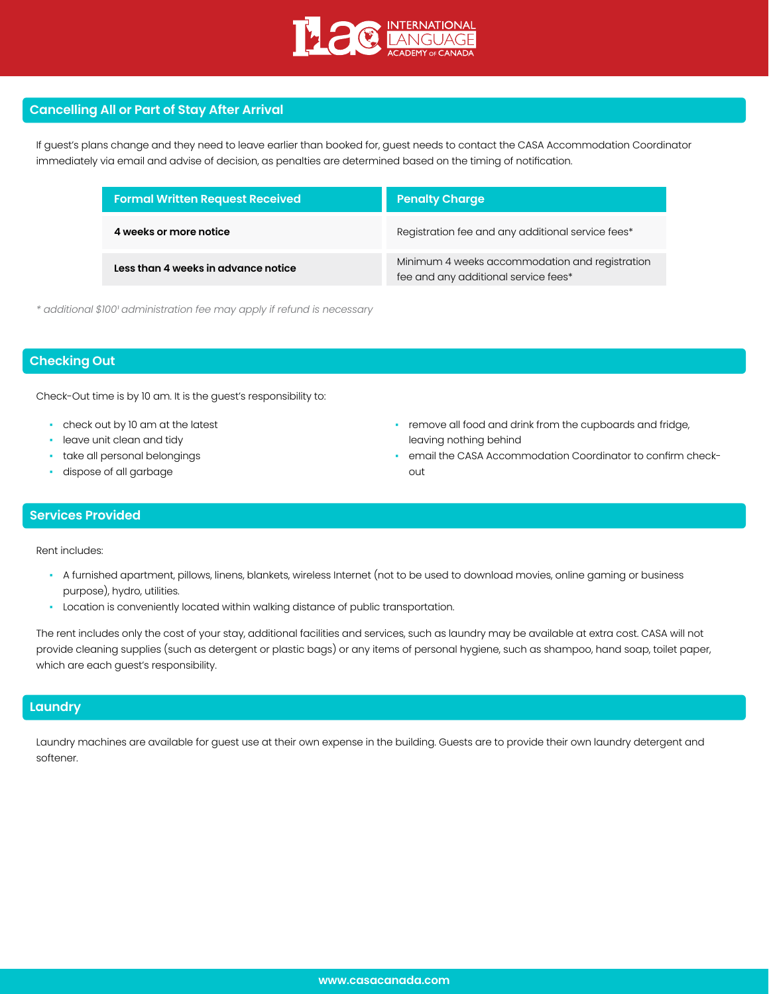

## **Cancelling All or Part of Stay After Arrival**

If guest's plans change and they need to leave earlier than booked for, guest needs to contact the CASA Accommodation Coordinator immediately via email and advise of decision, as penalties are determined based on the timing of notification.

| <b>Formal Written Request Received</b> | <b>Penalty Charge</b>                                                                  |  |
|----------------------------------------|----------------------------------------------------------------------------------------|--|
| 4 weeks or more notice                 | Registration fee and any additional service fees*                                      |  |
| Less than 4 weeks in advance notice    | Minimum 4 weeks accommodation and registration<br>fee and any additional service fees* |  |

*\* additional \$100¹ administration fee may apply if refund is necessary*

## **Checking Out**

Check-Out time is by 10 am. It is the guest's responsibility to:

- check out by 10 am at the latest
- leave unit clean and tidy
- take all personal belongings
- dispose of all garbage
- remove all food and drink from the cupboards and fridge, leaving nothing behind
- email the CASA Accommodation Coordinator to confirm checkout

### **Services Provided**

Rent includes:

- A furnished apartment, pillows, linens, blankets, wireless Internet (not to be used to download movies, online gaming or business purpose), hydro, utilities.
- Location is conveniently located within walking distance of public transportation.

The rent includes only the cost of your stay, additional facilities and services, such as laundry may be available at extra cost. CASA will not provide cleaning supplies (such as detergent or plastic bags) or any items of personal hygiene, such as shampoo, hand soap, toilet paper, which are each guest's responsibility.

### **Laundry**

Laundry machines are available for guest use at their own expense in the building. Guests are to provide their own laundry detergent and softener.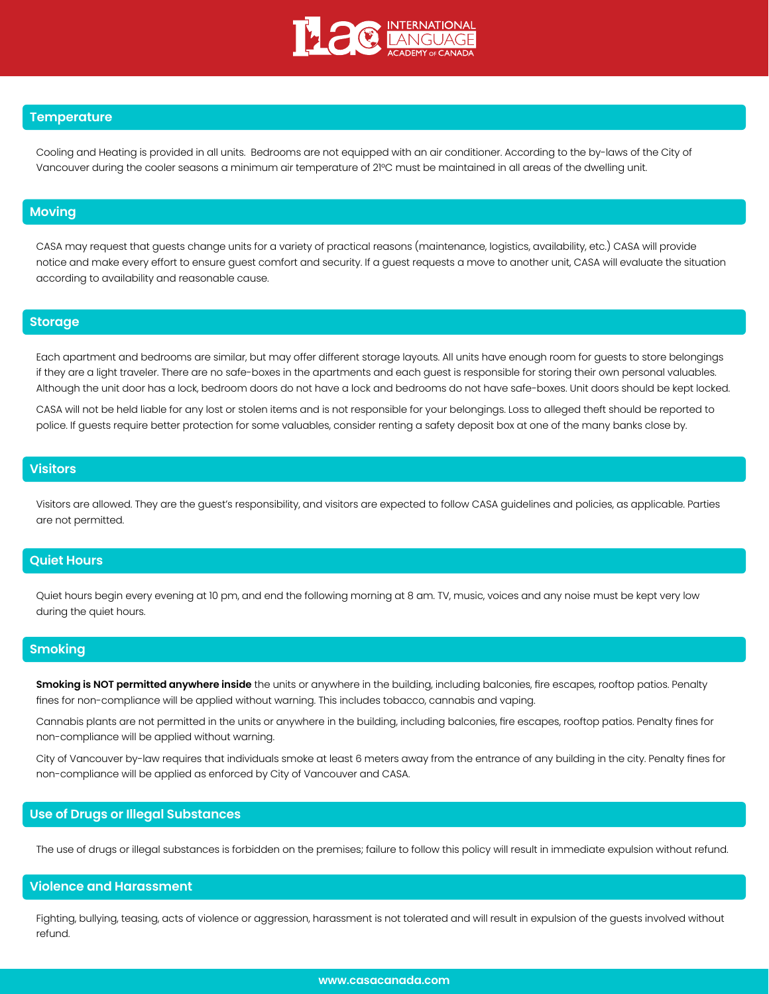

### **Temperature**

Cooling and Heating is provided in all units. Bedrooms are not equipped with an air conditioner. According to the by-laws of the City of Vancouver during the cooler seasons a minimum air temperature of 21°C must be maintained in all areas of the dwelling unit.

### **Moving**

CASA may request that guests change units for a variety of practical reasons (maintenance, logistics, availability, etc.) CASA will provide notice and make every effort to ensure guest comfort and security. If a guest requests a move to another unit, CASA will evaluate the situation according to availability and reasonable cause.

### **Storage**

Each apartment and bedrooms are similar, but may offer different storage layouts. All units have enough room for guests to store belongings if they are a light traveler. There are no safe-boxes in the apartments and each guest is responsible for storing their own personal valuables. Although the unit door has a lock, bedroom doors do not have a lock and bedrooms do not have safe-boxes. Unit doors should be kept locked.

CASA will not be held liable for any lost or stolen items and is not responsible for your belongings. Loss to alleged theft should be reported to police. If guests require better protection for some valuables, consider renting a safety deposit box at one of the many banks close by.

## **Visitors**

Visitors are allowed. They are the guest's responsibility, and visitors are expected to follow CASA guidelines and policies, as applicable. Parties are not permitted.

#### **Quiet Hours**

Quiet hours begin every evening at 10 pm, and end the following morning at 8 am. TV, music, voices and any noise must be kept very low during the quiet hours.

#### **Smoking**

**Smoking is NOT permitted anywhere inside** the units or anywhere in the building, including balconies, fire escapes, rooftop patios. Penalty fines for non-compliance will be applied without warning. This includes tobacco, cannabis and vaping.

Cannabis plants are not permitted in the units or anywhere in the building, including balconies, fire escapes, rooftop patios. Penalty fines for non-compliance will be applied without warning.

City of Vancouver by-law requires that individuals smoke at least 6 meters away from the entrance of any building in the city. Penalty fines for non-compliance will be applied as enforced by City of Vancouver and CASA.

## **Use of Drugs or Illegal Substances**

The use of drugs or illegal substances is forbidden on the premises; failure to follow this policy will result in immediate expulsion without refund.

#### **Violence and Harassment**

Fighting, bullying, teasing, acts of violence or aggression, harassment is not tolerated and will result in expulsion of the guests involved without refund.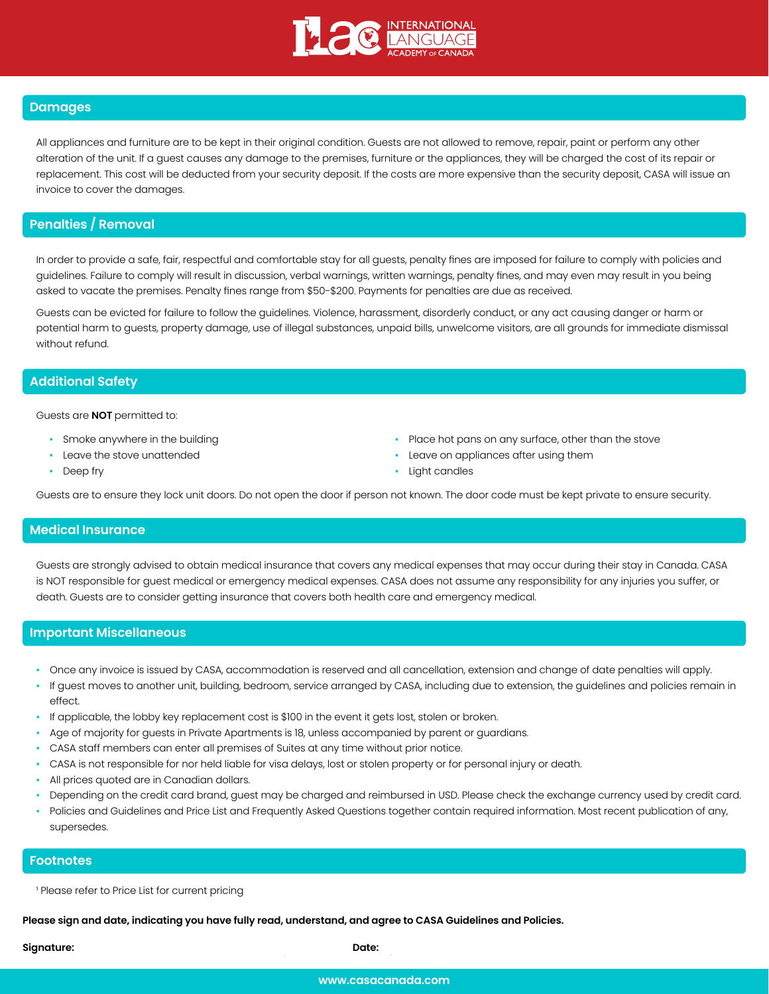

## **Damages**

All appliances and furniture are to be kept in their original condition. Guests are not allowed to remove, repair, paint or perform any other alteration of the unit. If a guest causes any damage to the premises, furniture or the appliances, they will be charged the cost of its repair or replacement. This cost will be deducted from your security deposit. If the costs are more expensive than the security deposit, CASA will issue an invoice to cover the damages.

### **Penalties / Removal**

In order to provide a safe, fair, respectful and comfortable stay for all guests, penalty fines are imposed for failure to comply with policies and guidelines. Failure to comply will result in discussion, verbal warnings, written warnings, penalty fines, and may even may result in you being asked to vacate the premises. Penalty fines range from \$50-\$200. Payments for penalties are due as received.

Guests can be evicted for failure to follow the guidelines. Violence, harassment, disorderly conduct, or any act causing danger or harm or potential harm to guests, property damage, use of illegal substances, unpaid bills, unwelcome visitors, are all grounds for immediate dismissal without refund.

#### **Additional Safety**

Guests are **NOT** permitted to:

- **•** Smoke anywhere in the building
- Leave the stove unattended
- Deep fry
- Place hot pans on any surface, other than the stove
- Leave on appliances after using them
- Light candles

Guests are to ensure they lock unit doors. Do not open the door if person not known. The door code must be kept private to ensure security.

#### **Medical Insurance**

Guests are strongly advised to obtain medical insurance that covers any medical expenses that may occur during their stay in Canada. CASA is NOT responsible for guest medical or emergency medical expenses. CASA does not assume any responsibility for any injuries you suffer, or death. Guests are to consider getting insurance that covers both health care and emergency medical.

#### **Important Miscellaneous**

- Once any invoice is issued by CASA, accommodation is reserved and all cancellation, extension and change of date penalties will apply.
- If guest moves to another unit, building, bedroom, service arranged by CASA, including due to extension, the guidelines and policies remain in effect.
- If applicable, the lobby key replacement cost is \$100 in the event it gets lost, stolen or broken.
- Age of majority for guests in Private Apartments is 18, unless accompanied by parent or guardians.
- CASA staff members can enter all premises of Suites at any time without prior notice.
- CASA is not responsible for nor held liable for visa delays, lost or stolen property or for personal injury or death.
- All prices quoted are in Canadian dollars.
- Depending on the credit card brand, guest may be charged and reimbursed in USD. Please check the exchange currency used by credit card.
- Policies and Guidelines and Price List and Frequently Asked Questions together contain required information. Most recent publication of any, supersedes.

#### **Footnotes**

<sup>1</sup> Please refer to Price List for current pricing

**Please sign and date, indicating you have fully read, understand, and agree to CASA Guidelines and Policies.**

**Signature: Date:**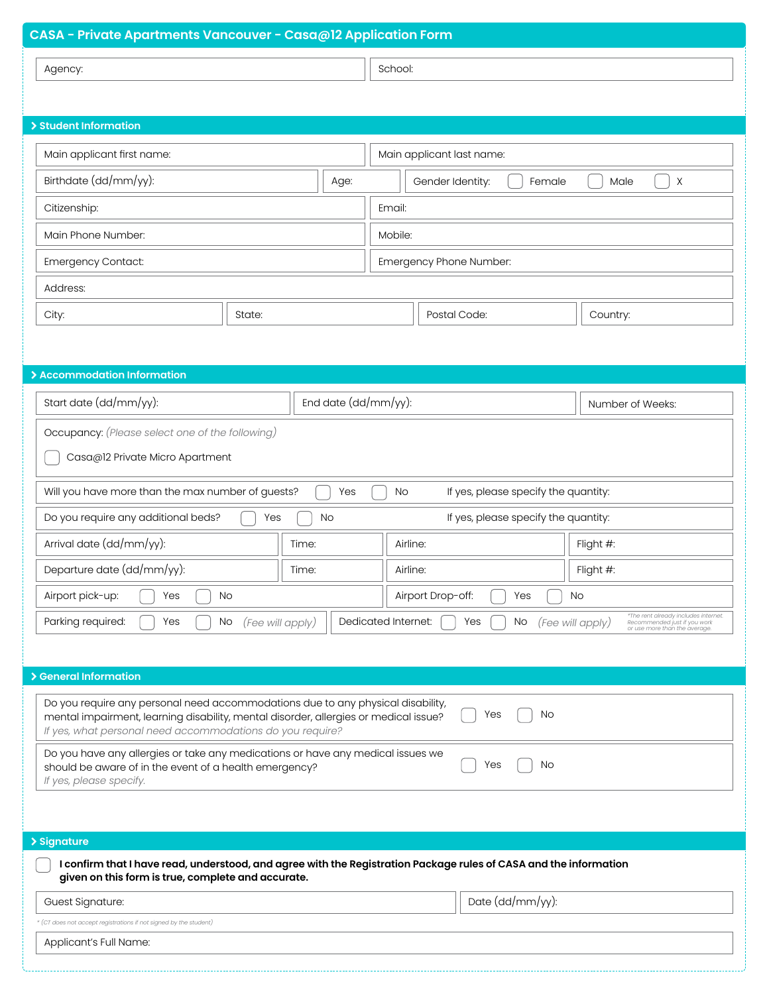| CASA - Private Apartments Vancouver - Casa@12 Application Form                                                                                                                                                                                    |                                                                                                                                                               |  |  |  |
|---------------------------------------------------------------------------------------------------------------------------------------------------------------------------------------------------------------------------------------------------|---------------------------------------------------------------------------------------------------------------------------------------------------------------|--|--|--|
| Agency:                                                                                                                                                                                                                                           | School:                                                                                                                                                       |  |  |  |
|                                                                                                                                                                                                                                                   |                                                                                                                                                               |  |  |  |
| > Student Information                                                                                                                                                                                                                             |                                                                                                                                                               |  |  |  |
| Main applicant first name:                                                                                                                                                                                                                        | Main applicant last name:                                                                                                                                     |  |  |  |
| Birthdate (dd/mm/yy):<br>Age:                                                                                                                                                                                                                     |                                                                                                                                                               |  |  |  |
|                                                                                                                                                                                                                                                   | Gender Identity:<br>Male<br>$\times$<br>Female                                                                                                                |  |  |  |
| Citizenship:<br>Main Phone Number:                                                                                                                                                                                                                | Email:                                                                                                                                                        |  |  |  |
| <b>Emergency Contact:</b>                                                                                                                                                                                                                         | Mobile:                                                                                                                                                       |  |  |  |
| Address:                                                                                                                                                                                                                                          | Emergency Phone Number:                                                                                                                                       |  |  |  |
|                                                                                                                                                                                                                                                   | Postal Code:                                                                                                                                                  |  |  |  |
| City:<br>State:                                                                                                                                                                                                                                   | Country:                                                                                                                                                      |  |  |  |
|                                                                                                                                                                                                                                                   |                                                                                                                                                               |  |  |  |
| > Accommodation Information                                                                                                                                                                                                                       |                                                                                                                                                               |  |  |  |
| End date (dd/mm/yy):<br>Start date (dd/mm/yy):                                                                                                                                                                                                    | Number of Weeks:                                                                                                                                              |  |  |  |
| Occupancy: (Please select one of the following)                                                                                                                                                                                                   |                                                                                                                                                               |  |  |  |
| Casa@12 Private Micro Apartment                                                                                                                                                                                                                   |                                                                                                                                                               |  |  |  |
| Will you have more than the max number of guests?<br>Yes                                                                                                                                                                                          | No<br>If yes, please specify the quantity:                                                                                                                    |  |  |  |
| Do you require any additional beds?<br><b>No</b><br>Yes                                                                                                                                                                                           | If yes, please specify the quantity:                                                                                                                          |  |  |  |
| Arrival date (dd/mm/yy):<br>Time:                                                                                                                                                                                                                 | Flight #:<br>Airline:                                                                                                                                         |  |  |  |
| Departure date (dd/mm/yy):<br>Time:                                                                                                                                                                                                               | Flight #:<br>Airline:                                                                                                                                         |  |  |  |
| Airport pick-up:<br>Yes<br>No                                                                                                                                                                                                                     | Airport Drop-off:<br>Yes<br>No                                                                                                                                |  |  |  |
| Parking required:<br>Yes<br>No<br>(Fee will apply)                                                                                                                                                                                                | *The rent already includes internet.<br>Dedicated Internet:<br>Yes<br>No<br>(Fee will apply)<br>Recommended just if you work<br>or use more than the average. |  |  |  |
|                                                                                                                                                                                                                                                   |                                                                                                                                                               |  |  |  |
| > General Information                                                                                                                                                                                                                             |                                                                                                                                                               |  |  |  |
| Do you require any personal need accommodations due to any physical disability,<br>No<br>Yes<br>mental impairment, learning disability, mental disorder, allergies or medical issue?<br>If yes, what personal need accommodations do you require? |                                                                                                                                                               |  |  |  |
| Do you have any allergies or take any medications or have any medical issues we<br>Yes<br>No<br>should be aware of in the event of a health emergency?<br>If yes, please specify.                                                                 |                                                                                                                                                               |  |  |  |
|                                                                                                                                                                                                                                                   |                                                                                                                                                               |  |  |  |
| > Signature                                                                                                                                                                                                                                       |                                                                                                                                                               |  |  |  |
| I confirm that I have read, understood, and agree with the Registration Package rules of CASA and the information<br>given on this form is true, complete and accurate.                                                                           |                                                                                                                                                               |  |  |  |
| Guest Signature:                                                                                                                                                                                                                                  | Date (dd/mm/yy):                                                                                                                                              |  |  |  |
| * (CT does not accept registrations if not signed by the student)                                                                                                                                                                                 |                                                                                                                                                               |  |  |  |
| Applicant's Full Name:                                                                                                                                                                                                                            |                                                                                                                                                               |  |  |  |